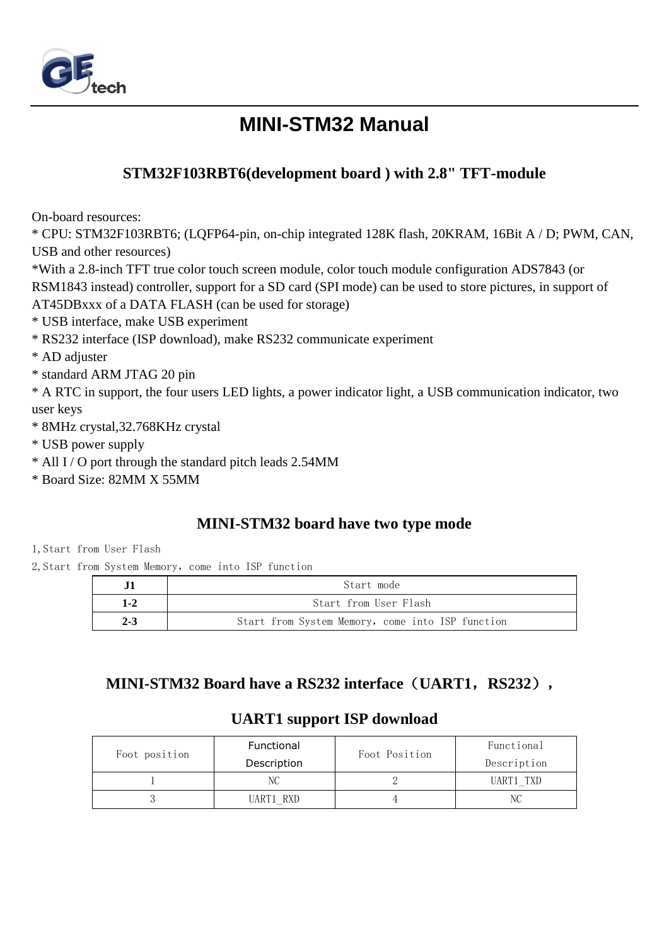

# **MINI-STM32 Manual**

### **STM32F103RBT6(development board ) with 2.8" TFT-module**

On-board resources:

\* CPU: STM32F103RBT6; (LQFP64-pin, on-chip integrated 128K flash, 20KRAM, 16Bit A / D; PWM, CAN, USB and other resources)

\*With a 2.8-inch TFT true color touch screen module, color touch module configuration ADS7843 (or RSM1843 instead) controller, support for a SD card (SPI mode) can be used to store pictures, in support of AT45DBxxx of a DATA FLASH (can be used for storage)

- \* USB interface, make USB experiment
- \* RS232 interface (ISP download), make RS232 communicate experiment
- \* AD adjuster
- \* standard ARM JTAG 20 pin

\* A RTC in support, the four users LED lights, a power indicator light, a USB communication indicator, two user keys

- \* 8MHz crystal,32.768KHz crystal
- \* USB power supply
- \* All I / O port through the standard pitch leads 2.54MM
- \* Board Size: 82MM X 55MM

#### **MINI-STM32 board have two type mode**

1,Start from User Flash

2, Start from System Memory, come into ISP function

|         | Start mode                                       |  |  |  |
|---------|--------------------------------------------------|--|--|--|
| 1-2     | Start from User Flash                            |  |  |  |
| $2 - 3$ | Start from System Memory, come into ISP function |  |  |  |

### **MINI-STM32 Board have a RS232 interface**(**UART1**,**RS232**),

### **UART1 support ISP download**

|               | Functional  | Foot Position | Functional  |  |
|---------------|-------------|---------------|-------------|--|
| Foot position | Description |               | Description |  |
|               | NC          |               | UART1 TXD   |  |
|               | UART1 RXD   |               |             |  |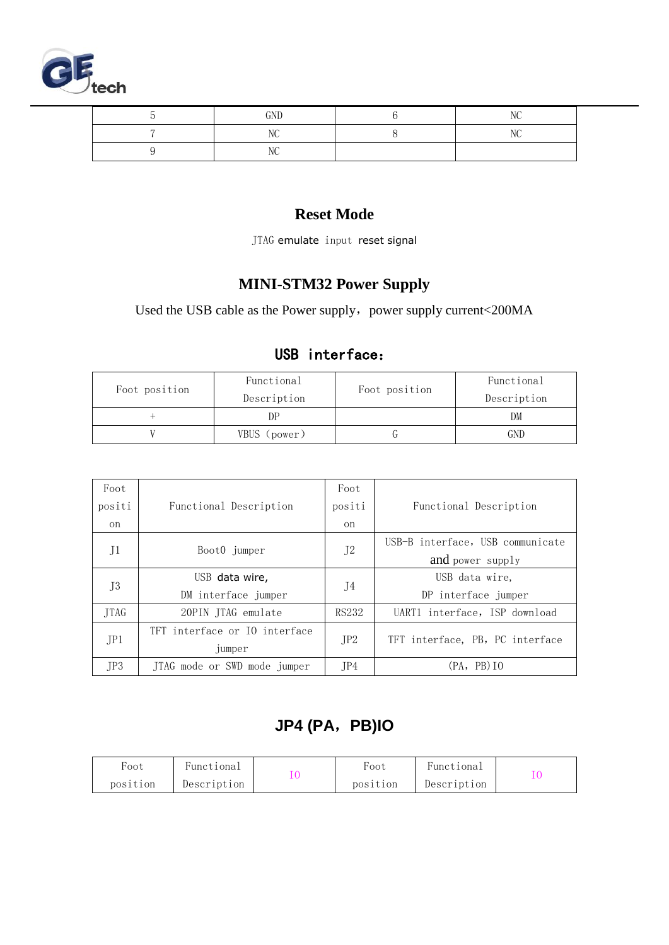

| GND | $\overline{1}$ |
|-----|----------------|
| $-$ | $-$            |
| ៸៶៶ |                |

#### **Reset Mode**

JTAG emulate input reset signal

## **MINI-STM32 Power Supply**

Used the USB cable as the Power supply, power supply current<200MA

### USB interface:

| Foot position | Functional<br>Description | Foot position | Functional<br>Description |
|---------------|---------------------------|---------------|---------------------------|
|               | DΡ                        |               | DM                        |
|               | VBUS (power)              |               |                           |

| Foot        |                               | Foot                                                                                                  |                                  |
|-------------|-------------------------------|-------------------------------------------------------------------------------------------------------|----------------------------------|
| positi      | Functional Description        | positi                                                                                                | Functional Description           |
| on          |                               | <sub>on</sub>                                                                                         |                                  |
|             |                               |                                                                                                       | USB-B interface, USB communicate |
| J1          | Boot0 jumper                  | J <sub>2</sub><br>J4<br>RS232                                                                         | and power supply                 |
|             | USB data wire,                | USB data wire,<br>DP interface jumper<br>JP2<br>TFT interface, PB, PC interface<br>(PA, PB) I0<br>JP4 |                                  |
| J3          | DM interface jumper           |                                                                                                       |                                  |
| <b>TTAG</b> | 20PIN ITAG emulate            |                                                                                                       | UART1 interface, ISP download    |
|             | TFT interface or IO interface |                                                                                                       |                                  |
| JPI         | jumper                        |                                                                                                       |                                  |
| JP3         | JTAG mode or SWD mode jumper  |                                                                                                       |                                  |

# **JP4 (PA**,**PB)IO**

| Foot     | Functional  | Foot     | Functional  |  |
|----------|-------------|----------|-------------|--|
| position | Description | position | Description |  |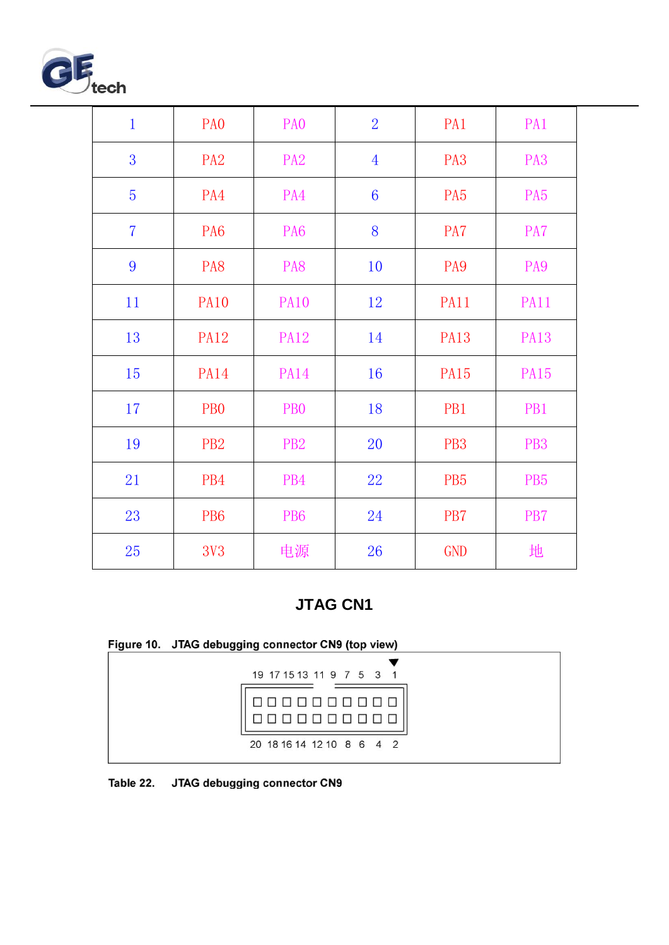

| $\mathbf 1$    | PA <sub>0</sub>  | PA <sub>0</sub> | $\overline{2}$  | PA1             | PA1             |
|----------------|------------------|-----------------|-----------------|-----------------|-----------------|
| 3              | PA <sub>2</sub>  | PA <sub>2</sub> | $\overline{4}$  | PA <sub>3</sub> | PA <sub>3</sub> |
| 5              | PA4              | PA4             | $6\phantom{1}6$ | PA <sub>5</sub> | PA <sub>5</sub> |
| $\overline{7}$ | PA <sub>6</sub>  | PA <sub>6</sub> | 8               | PA7             | PA7             |
| 9              | PA8              | PA8             | 10              | PA <sub>9</sub> | PA9             |
| 11             | <b>PA10</b>      | <b>PA10</b>     | 12              | <b>PA11</b>     | <b>PA11</b>     |
| 13             | <b>PA12</b>      | <b>PA12</b>     | 14              | <b>PA13</b>     | <b>PA13</b>     |
| 15             | <b>PA14</b>      | <b>PA14</b>     | 16              | <b>PA15</b>     | <b>PA15</b>     |
| 17             | P <sub>B</sub> O | PB <sub>0</sub> | 18              | PB1             | PB1             |
| 19             | PB <sub>2</sub>  | PB <sub>2</sub> | 20              | PB <sub>3</sub> | PB <sub>3</sub> |
| 21             | PB4              | PB4             | 22              | PB <sub>5</sub> | PB <sub>5</sub> |
| 23             | PB <sub>6</sub>  | PB <sub>6</sub> | 24              | PB7             | PB7             |
| 25             | <b>3V3</b>       | 电源              | 26              | <b>GND</b>      | 地               |

## **JTAG CN1**

| Figure 10. JTAG debugging connector CN9 (top view) |  |  |
|----------------------------------------------------|--|--|
|----------------------------------------------------|--|--|